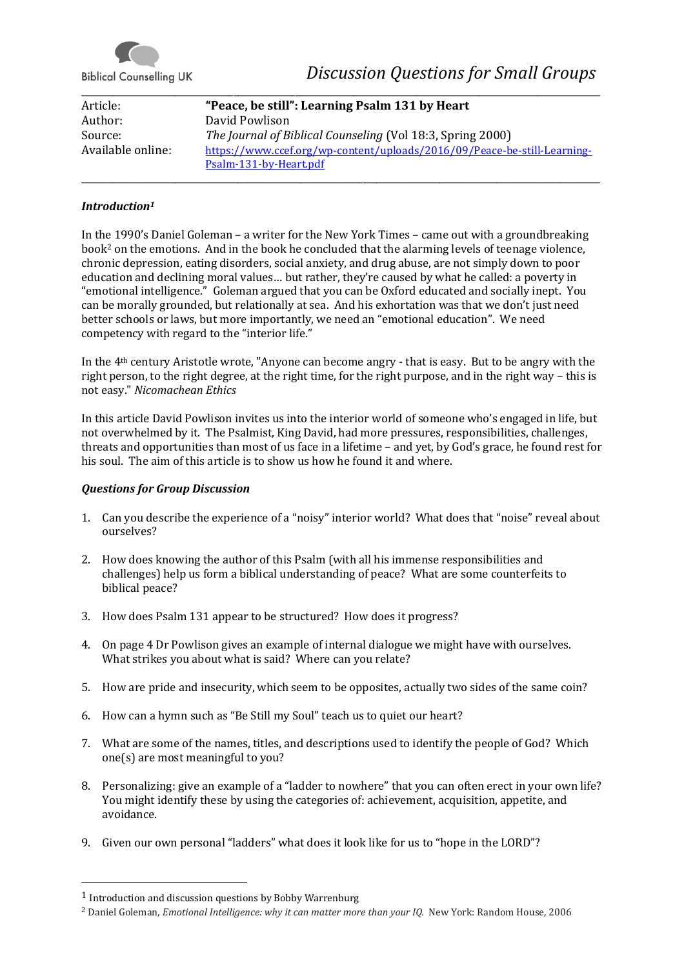

**Biblical Counselling UK** 

| Article:          | "Peace, be still": Learning Psalm 131 by Heart                           |
|-------------------|--------------------------------------------------------------------------|
| Author:           | David Powlison                                                           |
| Source:           | The Journal of Biblical Counseling (Vol 18:3, Spring 2000)               |
| Available online: | https://www.ccef.org/wp-content/uploads/2016/09/Peace-be-still-Learning- |
|                   | Psalm-131-by-Heart.pdf                                                   |

\_\_\_\_\_\_\_\_\_\_\_\_\_\_\_\_\_\_\_\_\_\_\_\_\_\_\_\_\_\_\_\_\_\_\_\_\_\_\_\_\_\_\_\_\_\_\_\_\_\_\_\_\_\_\_\_\_\_\_\_\_\_\_\_\_\_\_\_\_\_\_\_\_\_\_\_\_\_\_\_\_\_\_\_\_\_\_\_\_\_\_\_\_\_\_\_\_\_\_\_\_\_\_\_\_\_\_\_\_\_\_\_\_\_\_\_

## *Introduction<sup>1</sup>*

In the 1990's Daniel Goleman – a writer for the New York Times – came out with a groundbreaking book<sup>2</sup> on the emotions. And in the book he concluded that the alarming levels of teenage violence, chronic depression, eating disorders, social anxiety, and drug abuse, are not simply down to poor education and declining moral values… but rather, they're caused by what he called: a poverty in "emotional intelligence." Goleman argued that you can be Oxford educated and socially inept. You can be morally grounded, but relationally at sea. And his exhortation was that we don't just need better schools or laws, but more importantly, we need an "emotional education". We need competency with regard to the "interior life."

In the 4th century Aristotle wrote, "Anyone can become angry - that is easy. But to be angry with the right person, to the right degree, at the right time, for the right purpose, and in the right way – this is not easy." *Nicomachean Ethics*

In this article David Powlison invites us into the interior world of someone who's engaged in life, but not overwhelmed by it. The Psalmist, King David, had more pressures, responsibilities, challenges, threats and opportunities than most of us face in a lifetime – and yet, by God's grace, he found rest for his soul. The aim of this article is to show us how he found it and where.

## *Questions for Group Discussion*

- 1. Can you describe the experience of a "noisy" interior world? What does that "noise" reveal about ourselves?
- 2. How does knowing the author of this Psalm (with all his immense responsibilities and challenges) help us form a biblical understanding of peace? What are some counterfeits to biblical peace?
- 3. How does Psalm 131 appear to be structured? How does it progress?
- 4. On page 4 Dr Powlison gives an example of internal dialogue we might have with ourselves. What strikes you about what is said? Where can you relate?
- 5. How are pride and insecurity, which seem to be opposites, actually two sides of the same coin?
- 6. How can a hymn such as "Be Still my Soul" teach us to quiet our heart?
- 7. What are some of the names, titles, and descriptions used to identify the people of God? Which one(s) are most meaningful to you?
- 8. Personalizing: give an example of a "ladder to nowhere" that you can often erect in your own life? You might identify these by using the categories of: achievement, acquisition, appetite, and avoidance.
- 9. Given our own personal "ladders" what does it look like for us to "hope in the LORD"?

<sup>1</sup> Introduction and discussion questions by Bobby Warrenburg

<sup>&</sup>lt;sup>2</sup> Daniel Goleman, *Emotional Intelligence: why it can matter more than your IO.* New York: Random House, 2006